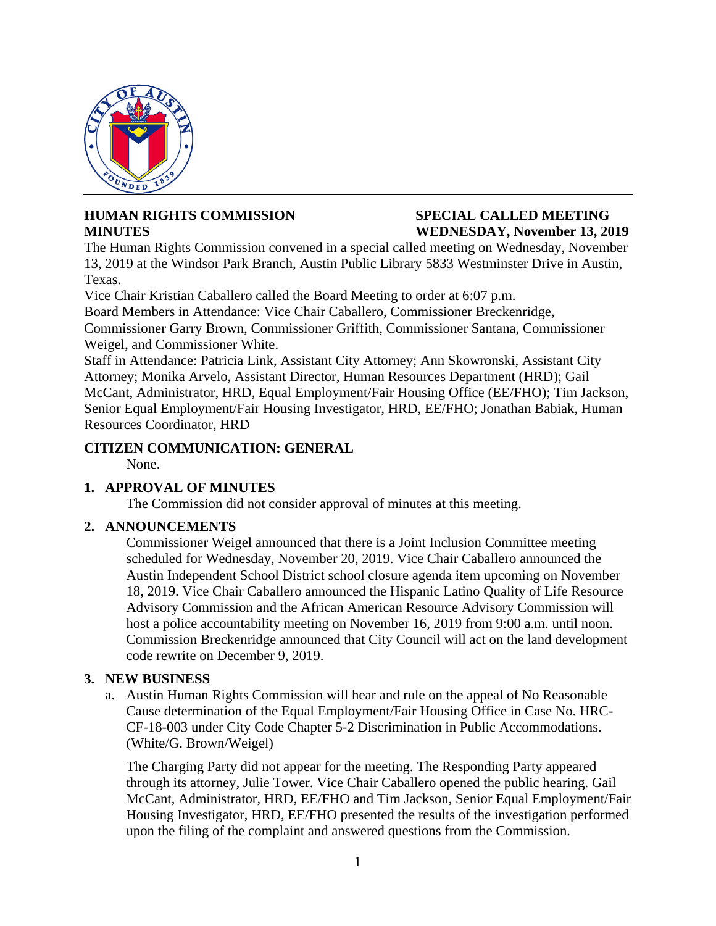

## **HUMAN RIGHTS COMMISSION SPECIAL CALLED MEETING**

# **MINUTES WEDNESDAY, November 13, 2019**

The Human Rights Commission convened in a special called meeting on Wednesday, November 13, 2019 at the Windsor Park Branch, Austin Public Library 5833 Westminster Drive in Austin, Texas.

Vice Chair Kristian Caballero called the Board Meeting to order at 6:07 p.m.

Board Members in Attendance: Vice Chair Caballero, Commissioner Breckenridge,

Commissioner Garry Brown, Commissioner Griffith, Commissioner Santana, Commissioner Weigel, and Commissioner White.

Staff in Attendance: Patricia Link, Assistant City Attorney; Ann Skowronski, Assistant City Attorney; Monika Arvelo, Assistant Director, Human Resources Department (HRD); Gail McCant, Administrator, HRD, Equal Employment/Fair Housing Office (EE/FHO); Tim Jackson, Senior Equal Employment/Fair Housing Investigator, HRD, EE/FHO; Jonathan Babiak, Human Resources Coordinator, HRD

### **CITIZEN COMMUNICATION: GENERAL**

None.

#### **1. APPROVAL OF MINUTES**

The Commission did not consider approval of minutes at this meeting.

#### **2. ANNOUNCEMENTS**

Commissioner Weigel announced that there is a Joint Inclusion Committee meeting scheduled for Wednesday, November 20, 2019. Vice Chair Caballero announced the Austin Independent School District school closure agenda item upcoming on November 18, 2019. Vice Chair Caballero announced the Hispanic Latino Quality of Life Resource Advisory Commission and the African American Resource Advisory Commission will host a police accountability meeting on November 16, 2019 from 9:00 a.m. until noon. Commission Breckenridge announced that City Council will act on the land development code rewrite on December 9, 2019.

#### **3. NEW BUSINESS**

a. Austin Human Rights Commission will hear and rule on the appeal of No Reasonable Cause determination of the Equal Employment/Fair Housing Office in Case No. HRC-CF-18-003 under City Code Chapter 5-2 Discrimination in Public Accommodations. (White/G. Brown/Weigel)

The Charging Party did not appear for the meeting. The Responding Party appeared through its attorney, Julie Tower. Vice Chair Caballero opened the public hearing. Gail McCant, Administrator, HRD, EE/FHO and Tim Jackson, Senior Equal Employment/Fair Housing Investigator, HRD, EE/FHO presented the results of the investigation performed upon the filing of the complaint and answered questions from the Commission.